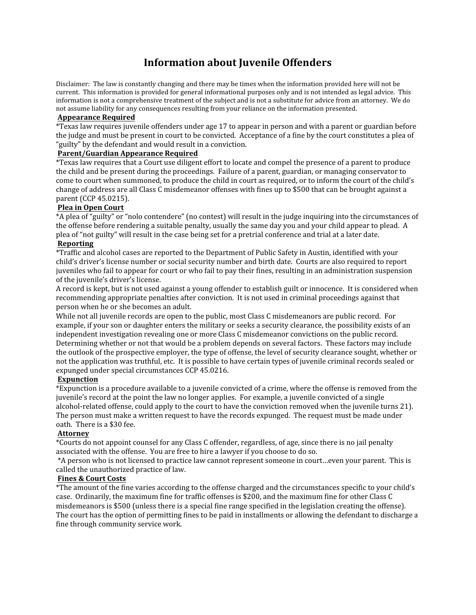# **Information about Juvenile Offenders**

Disclaimer: The law is constantly changing and there may be times when the information provided here will not be current. This information is provided for general informational purposes only and is not intended as legal advice. This information is not a comprehensive treatment of the subject and is not a substitute for advice from an attorney. We do not assume liability for any consequences resulting from your reliance on the information presented.

# **Appearance Required**

\*Texas law requires juvenile offenders under age 17 to appear in person and with a parent or guardian before the judge and must be present in court to be convicted. Acceptance of a fine by the court constitutes a plea of "guilty" by the defendant and would result in a conviction.

# **Parent/Guardian Appearance Required**

\*Texas law requires that a Court use diligent effort to locate and compel the presence of a parent to produce the child and be present during the proceedings. Failure of a parent, guardian, or managing conservator to come to court when summoned, to produce the child in court as required, or to inform the court of the child's change of address are all Class C misdemeanor offenses with fines up to \$500 that can be brought against a parent (CCP 45.0215).

### **Plea in Open Court**

\*A plea of "guilty" or "nolo contendere" (no contest) will result in the judge inquiring into the circumstances of the offense before rendering a suitable penalty, usually the same day you and your child appear to plead. A plea of "not guilty" will result in the case being set for a pretrial conference and trial at a later date. **Reporting**

\*Traffic and alcohol cases are reported to the Department of Public Safety in Austin, identified with your child's driver's license number or social security number and birth date. Courts are also required to report juveniles who fail to appear for court or who fail to pay their fines, resulting in an administration suspension of the juvenile's driver's license.

A record is kept, but is not used against a young offender to establish guilt or innocence. It is considered when recommending appropriate penalties after conviction. It is not used in criminal proceedings against that person when he or she becomes an adult.

While not all juvenile records are open to the public, most Class C misdemeanors are public record. For example, if your son or daughter enters the military or seeks a security clearance, the possibility exists of an independent investigation revealing one or more Class C misdemeanor convictions on the public record. Determining whether or not that would be a problem depends on several factors. These factors may include the outlook of the prospective employer, the type of offense, the level of security clearance sought, whether or not the application was truthful, etc. It is possible to have certain types of juvenile criminal records sealed or expunged under special circumstances CCP 45.0216.

### **Expunction**

\*Expunction is a procedure available to a juvenile convicted of a crime, where the offense is removed from the juvenile's record at the point the law no longer applies. For example, a juvenile convicted of a single alcohol-related offense, could apply to the court to have the conviction removed when the juvenile turns 21). The person must make a written request to have the records expunged. The request must be made under oath. There is a \$30 fee.

# **Attorney**

\*Courts do not appoint counsel for any Class C offender, regardless, of age, since there is no jail penalty associated with the offense. You are free to hire a lawyer if you choose to do so.

 \*A person who is not licensed to practice law cannot represent someone in court…even your parent. This is called the unauthorized practice of law.

#### **Fines & Court Costs**

\*The amount of the fine varies according to the offense charged and the circumstances specific to your child's case. Ordinarily, the maximum fine for traffic offenses is \$200, and the maximum fine for other Class C misdemeanors is \$500 (unless there is a special fine range specified in the legislation creating the offense). The court has the option of permitting fines to be paid in installments or allowing the defendant to discharge a fine through community service work.